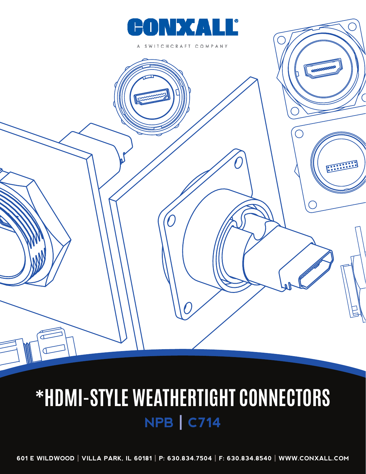

CHCRAFT COMPANY



## **\*HDMI-STYLE WEATHERTIGHT CONNECTORS NPB | C714**

**601 E WILDWOOD | VILLA PARK, IL 60181 | P: 630.834.7504 | F: 630.834.8540 | WWW.CONXALL.COM**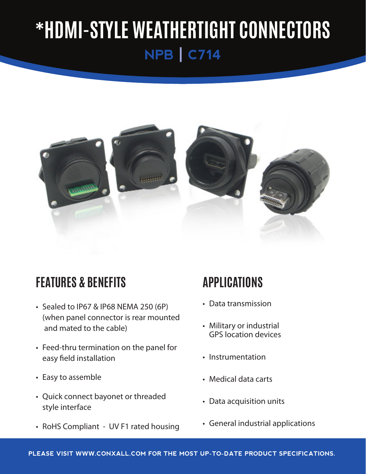

### **FEATURES & BENEFITS**

- Sealed to IP67 & IP68 NEMA 250 (6P) (when panel connector is rear mounted and mated to the cable)
- Feed-thru termination on the panel for easy field installation
- Easy to assemble
- Quick connect bayonet or threaded style interface
- RoHS Compliant UV F1 rated housing

### **APPLICATIONS**

- • Data transmission
- • Military or industrial GPS location devices
- Instrumentation
- • Medical data carts
- Data acquisition units
- • General industrial applications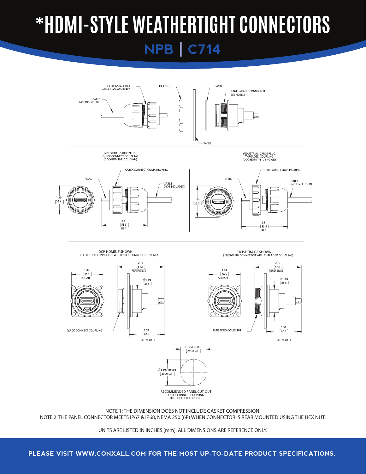

NOTE 1: THE DIMENSION DOES NOT INCLUDE GASKET COMPRESSION. NOTE 2: THE PANEL CONNECTOR MEETS IP67 & IP68, NEMA 250 (6P) WHEN CONNECTOR IS REAR MOUNTED USING THE HEX NUT.

### **PLEASE VISIT WWW.CONXALL.COM FOR THE MOST UP-TO-DATE PRODUCT SPECIFICATIONS.**

UNITS ARE LISTED IN INCHES [mm]. ALL DIMENSIONS ARE REFERENCE ONLY.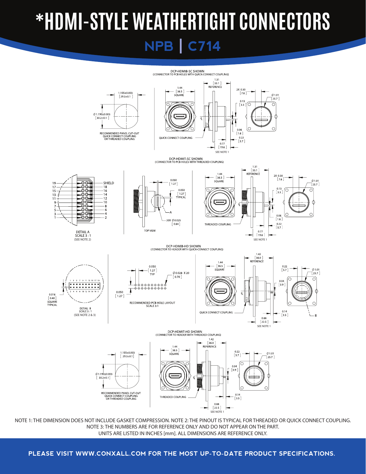

NOTE 1: THE DIMENSION DOES NOT INCLUDE GASKET COMPRESSION. NOTE 2: THE PINOUT IS TYPICAL FOR THREADED OR QUICK CONNECT COUPLING. NOTE 3: THE NUMBERS ARE FOR REFERENCE ONLY AND DO NOT APPEAR ON THE PART. UNITS ARE LISTED IN INCHES [mm]. ALL DIMENSIONS ARE REFERENCE ONLY.

**PLEASE VISIT WWW.CONXALL.COM FOR THE MOST UP-TO-DATE PRODUCT SPECIFICATIONS.**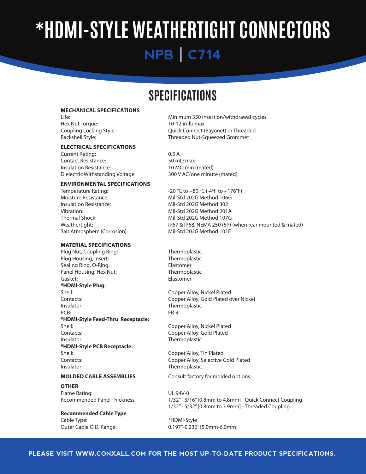### **SPECIFICATIONS**

#### **MECHANICAL SPECIFICATIONS**

Hex Nut Torque: 10-12 in-lb max

#### **ELECTRICAL SPECIFICATIONS**

Current Rating:  $0.5 A$ Contact Resistance:  $50 \text{ m}\Omega$  max Insulation Resistance:  $10 MΩ$  min (mated) Dielectric Withstanding Voltage: 300 V AC/one minute (mated)

#### **ENVIRONMENTAL SPECIFICATIONS**

Moisture Resistance: Mil-Std 202G Method 106G Insulation Resistance: Mil-Std 202G Method 302 Vibration: **Will-Std 202G Method 201A** Thermal Shock: Mil-Std 202G Method 107G Salt Atmosphere (Corrosion): Mil-Std 202G Method 101E

#### **MATERIAL SPECIFICATIONS**

Plug Nut, Coupling Ring: Thermoplastic Plug Housing, Insert: Thermoplastic Sealing Ring, O-Ring: Sealing Ring, O-Ring: Panel Housing, Hex Nut: Thermoplastic Gasket: **Gasket: Communist Communist Communist Communist Communist Communist Communist Communist Communist Communist Communist Communist Communist Communist Communist Communist Communist Communist Communist Communist Com \*HDMI-Style Plug:** Shell: Shell: Shell: Copper Alloy, Nickel Plated Contacts: Contacts: Copper Alloy, Gold Plated over Nickel Insulator: Thermoplastic PCB: The contract of the contract of the contract of the FR-4 **\*HDMI-Style Feed-Thru Receptacle:** Shell: Shell: Shell: Shell: Shell: Copper Alloy, Nickel Plated Contacts: Contacts: Copper Alloy, Gold Plated Insulator: Thermoplastic **\*HDMI-Style PCB Receptacle:** Shell: Copper Alloy, Tin Plated Contacts: Contacts: Contacts: Contacts: Contacts: Contacts: Contacts: Contacts: Contacts: Contacts: Contacts: Contacts: Contacts: Contacts: Contacts: Contacts: Contacts: Contacts: Contacts: Contacts: Contacts: Contacts: Co Insulator: Thermoplastic

**OTHER** Flame Rating: UL 94V-0

**Recommended Cable Type** Cable Type:  $*$ HDMI-Style

Life: **Life:** *CONDERGIFY CONDERGIFY CONDERGIFY MINIMUM 350 insertion/withdrawal cycles* Coupling Locking Style: *Coupling Locking Style*: *Coupling Locking Style*: *Coupling Locking Style*: *Algoei* Backshell Style: **Backshell Style: Backshell Style:** *COND* 

Temperature Rating:  $-20 °C$  to  $+80 °C$  (-4°F to  $+176 °F$ ) Weathertight: IP67 & IP68, NEMA 250 (6P) (when rear mounted & mated)

**MOLDED CABLE ASSEMBLIES** Consult factory for molded options

Recommended Panel Thickness: 1/32" - 3/16" [0.8mm to 4.8mm] - Quick Connect Coupling 1/32"- 5/32"[0.8mm to 3.9mm] - Threaded Coupling

Outer Cable O.D. Range: 0.197"-0.236" [5.0mm-6.0mm]